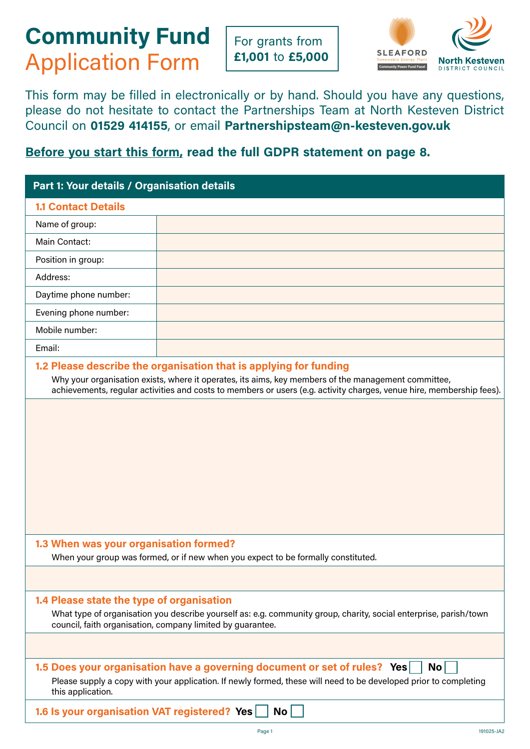# **Community Fund**  Application Form

For grants from **£1,001** to **£5,000**



This form may be filled in electronically or by hand. Should you have any questions, please do not hesitate to contact the Partnerships Team at North Kesteven District Council on **01529 414155**, or email **Partnershipsteam@n-kesteven.gov.uk**

# **Before you start this form, read the full GDPR statement on page 8.**

| Part 1: Your details / Organisation details  |                                                                                                                                                                                                                                                                                                  |
|----------------------------------------------|--------------------------------------------------------------------------------------------------------------------------------------------------------------------------------------------------------------------------------------------------------------------------------------------------|
| <b>1.1 Contact Details</b>                   |                                                                                                                                                                                                                                                                                                  |
| Name of group:                               |                                                                                                                                                                                                                                                                                                  |
| Main Contact:                                |                                                                                                                                                                                                                                                                                                  |
| Position in group:                           |                                                                                                                                                                                                                                                                                                  |
| Address:                                     |                                                                                                                                                                                                                                                                                                  |
| Daytime phone number:                        |                                                                                                                                                                                                                                                                                                  |
| Evening phone number:                        |                                                                                                                                                                                                                                                                                                  |
| Mobile number:                               |                                                                                                                                                                                                                                                                                                  |
| Email:                                       |                                                                                                                                                                                                                                                                                                  |
|                                              | 1.2 Please describe the organisation that is applying for funding<br>Why your organisation exists, where it operates, its aims, key members of the management committee,<br>achievements, regular activities and costs to members or users (e.g. activity charges, venue hire, membership fees). |
|                                              |                                                                                                                                                                                                                                                                                                  |
| 1.3 When was your organisation formed?       | When your group was formed, or if new when you expect to be formally constituted.                                                                                                                                                                                                                |
|                                              |                                                                                                                                                                                                                                                                                                  |
| 1.4 Please state the type of organisation    | What type of organisation you describe yourself as: e.g. community group, charity, social enterprise, parish/town<br>council, faith organisation, company limited by guarantee.                                                                                                                  |
|                                              |                                                                                                                                                                                                                                                                                                  |
| this application.                            | 1.5 Does your organisation have a governing document or set of rules? Yes<br><b>No</b><br>Please supply a copy with your application. If newly formed, these will need to be developed prior to completing                                                                                       |
| 1.6 Is your organisation VAT registered? Yes | No                                                                                                                                                                                                                                                                                               |
|                                              | 191025-JA2<br>Page 1                                                                                                                                                                                                                                                                             |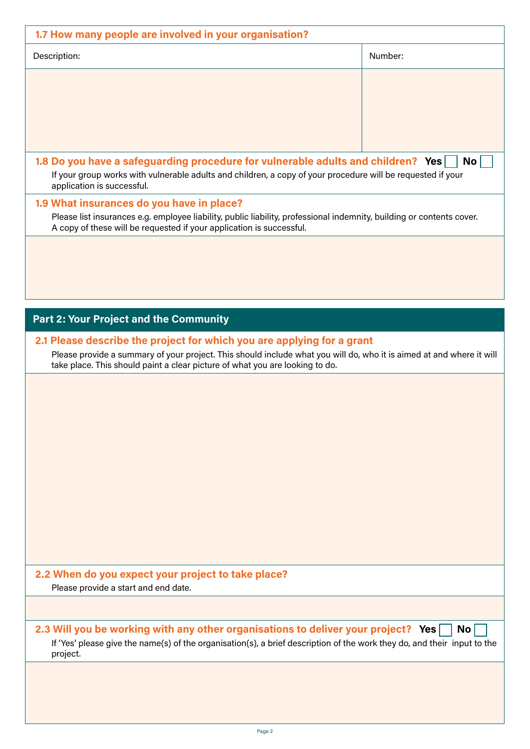| Description:                                                                                                                                                                                                                                                                   | Number:   |
|--------------------------------------------------------------------------------------------------------------------------------------------------------------------------------------------------------------------------------------------------------------------------------|-----------|
|                                                                                                                                                                                                                                                                                |           |
| 1.8 Do you have a safeguarding procedure for vulnerable adults and children? Yes<br>If your group works with vulnerable adults and children, a copy of your procedure will be requested if your<br>application is successful.                                                  | <b>No</b> |
| 1.9 What insurances do you have in place?<br>Please list insurances e.g. employee liability, public liability, professional indemnity, building or contents cover.<br>A copy of these will be requested if your application is successful.                                     |           |
|                                                                                                                                                                                                                                                                                |           |
| <b>Part 2: Your Project and the Community</b>                                                                                                                                                                                                                                  |           |
| 2.1 Please describe the project for which you are applying for a grant<br>Please provide a summary of your project. This should include what you will do, who it is aimed at and where it will<br>take place. This should paint a clear picture of what you are looking to do. |           |
|                                                                                                                                                                                                                                                                                |           |
|                                                                                                                                                                                                                                                                                |           |
| 2.2 When do you expect your project to take place?<br>Please provide a start and end date.                                                                                                                                                                                     |           |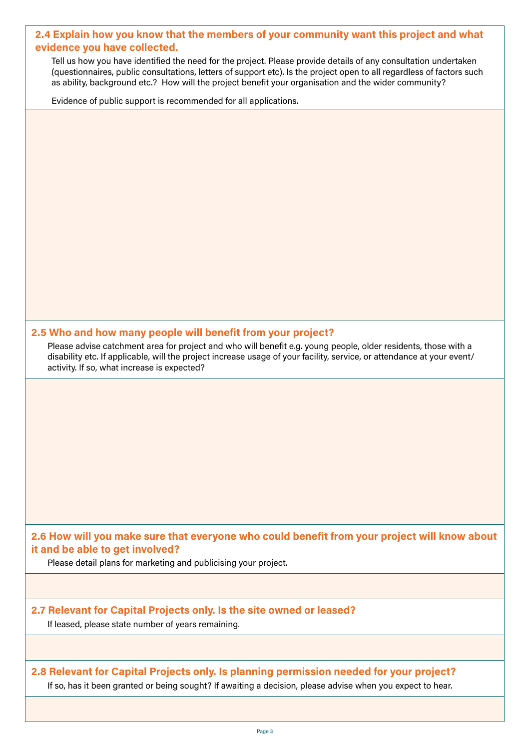#### **2.4 Explain how you know that the members of your community want this project and what evidence you have collected.**

Tell us how you have identified the need for the project. Please provide details of any consultation undertaken (questionnaires, public consultations, letters of support etc). Is the project open to all regardless of factors such as ability, background etc.? How will the project benefit your organisation and the wider community?

Evidence of public support is recommended for all applications.

#### **2.5 Who and how many people will benefit from your project?**

Please advise catchment area for project and who will benefit e.g. young people, older residents, those with a disability etc. If applicable, will the project increase usage of your facility, service, or attendance at your event/ activity. If so, what increase is expected?

**2.6 How will you make sure that everyone who could benefit from your project will know about it and be able to get involved?**

Please detail plans for marketing and publicising your project.

# **2.7 Relevant for Capital Projects only. Is the site owned or leased?**

If leased, please state number of years remaining.

## **2.8 Relevant for Capital Projects only. Is planning permission needed for your project?**  If so, has it been granted or being sought? If awaiting a decision, please advise when you expect to hear.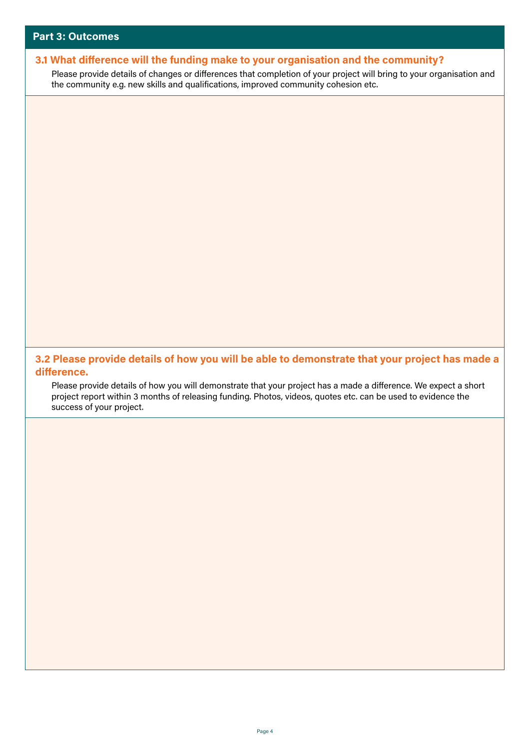# **3.1 What difference will the funding make to your organisation and the community?**  Please provide details of changes or differences that completion of your project will bring to your organisation and the community e.g. new skills and qualifications, improved community cohesion etc. **3.2 Please provide details of how you will be able to demonstrate that your project has made a difference.** Please provide details of how you will demonstrate that your project has a made a difference. We expect a short project report within 3 months of releasing funding. Photos, videos, quotes etc. can be used to evidence the success of your project.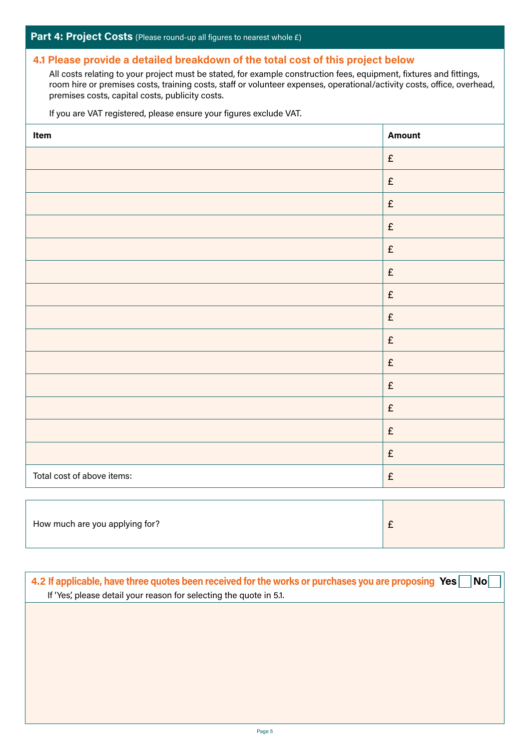#### **4.1 Please provide a detailed breakdown of the total cost of this project below**

All costs relating to your project must be stated, for example construction fees, equipment, fixtures and fittings, room hire or premises costs, training costs, staff or volunteer expenses, operational/activity costs, office, overhead, premises costs, capital costs, publicity costs.

If you are VAT registered, please ensure your figures exclude VAT.

| Item                       | <b>Amount</b>      |
|----------------------------|--------------------|
|                            | $\pmb{\mathsf{E}}$ |
|                            | $\pmb{\mathsf{E}}$ |
|                            | $\pounds$          |
|                            | $\pounds$          |
|                            | $\pmb{\mathsf{E}}$ |
|                            | $\pounds$          |
|                            | $\pmb{\mathsf{E}}$ |
|                            | $\pmb{\mathsf{E}}$ |
|                            | $\pounds$          |
|                            | $\pounds$          |
|                            | $\pounds$          |
|                            | $\pmb{\mathsf{E}}$ |
|                            | $\pmb{\mathsf{E}}$ |
|                            | $\pmb{\mathsf{E}}$ |
| Total cost of above items: | $\pounds$          |

| How much are you applying for?<br>$\sim$<br>- |
|-----------------------------------------------|
|-----------------------------------------------|

| If 'Yes', please detail your reason for selecting the quote in 5.1. | 4.2 If applicable, have three quotes been received for the works or purchases you are proposing Yes   No |
|---------------------------------------------------------------------|----------------------------------------------------------------------------------------------------------|
|                                                                     |                                                                                                          |
|                                                                     |                                                                                                          |
|                                                                     |                                                                                                          |
|                                                                     |                                                                                                          |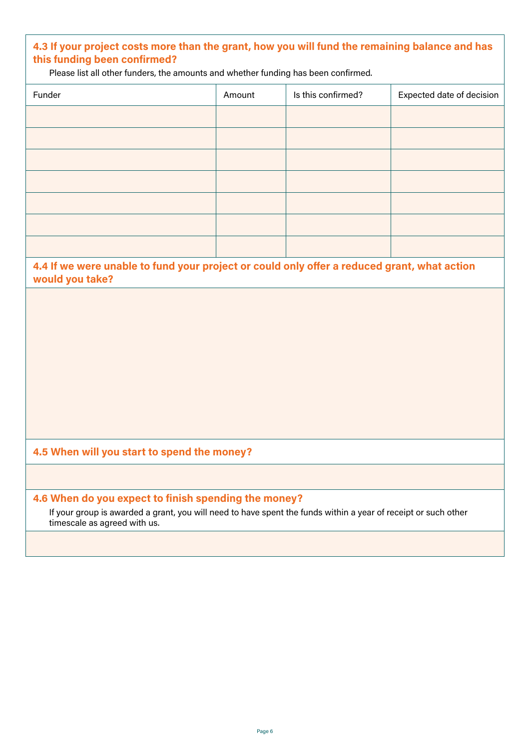# **4.3 If your project costs more than the grant, how you will fund the remaining balance and has this funding been confirmed?**

Please list all other funders, the amounts and whether funding has been confirmed.

| Funder                                                                                                                                                                                                 | Amount | Is this confirmed? | Expected date of decision |
|--------------------------------------------------------------------------------------------------------------------------------------------------------------------------------------------------------|--------|--------------------|---------------------------|
|                                                                                                                                                                                                        |        |                    |                           |
|                                                                                                                                                                                                        |        |                    |                           |
|                                                                                                                                                                                                        |        |                    |                           |
|                                                                                                                                                                                                        |        |                    |                           |
|                                                                                                                                                                                                        |        |                    |                           |
|                                                                                                                                                                                                        |        |                    |                           |
|                                                                                                                                                                                                        |        |                    |                           |
|                                                                                                                                                                                                        |        |                    |                           |
|                                                                                                                                                                                                        |        |                    |                           |
| 4.4 If we were unable to fund your project or could only offer a reduced grant, what action<br>would you take?                                                                                         |        |                    |                           |
|                                                                                                                                                                                                        |        |                    |                           |
|                                                                                                                                                                                                        |        |                    |                           |
|                                                                                                                                                                                                        |        |                    |                           |
|                                                                                                                                                                                                        |        |                    |                           |
|                                                                                                                                                                                                        |        |                    |                           |
|                                                                                                                                                                                                        |        |                    |                           |
|                                                                                                                                                                                                        |        |                    |                           |
|                                                                                                                                                                                                        |        |                    |                           |
|                                                                                                                                                                                                        |        |                    |                           |
|                                                                                                                                                                                                        |        |                    |                           |
|                                                                                                                                                                                                        |        |                    |                           |
|                                                                                                                                                                                                        |        |                    |                           |
|                                                                                                                                                                                                        |        |                    |                           |
| 4.5 When will you start to spend the money?                                                                                                                                                            |        |                    |                           |
| 4.6 When do you expect to finish spending the money?<br>If your group is awarded a grant, you will need to have spent the funds within a year of receipt or such other<br>timescale as agreed with us. |        |                    |                           |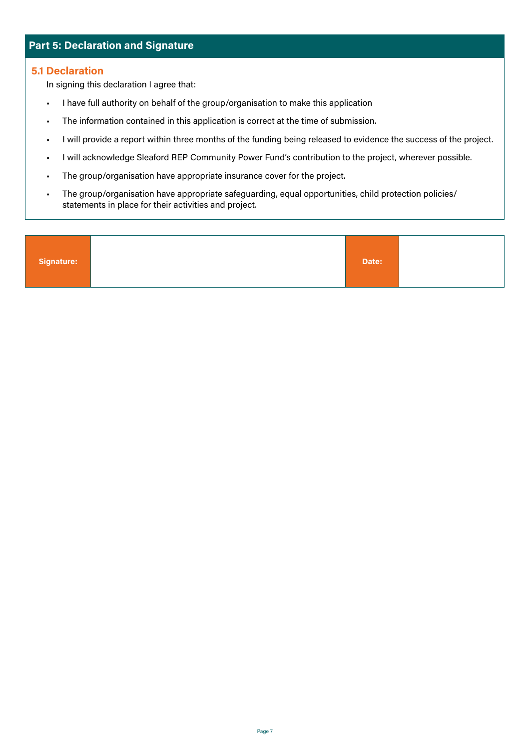# **Part 5: Declaration and Signature**

#### **5.1 Declaration**

In signing this declaration I agree that:

- I have full authority on behalf of the group/organisation to make this application
- The information contained in this application is correct at the time of submission.
- I will provide a report within three months of the funding being released to evidence the success of the project.
- I will acknowledge Sleaford REP Community Power Fund's contribution to the project, wherever possible.
- The group/organisation have appropriate insurance cover for the project.
- The group/organisation have appropriate safeguarding, equal opportunities, child protection policies/ statements in place for their activities and project.

| Signature:<br>Date: |  |
|---------------------|--|
|---------------------|--|